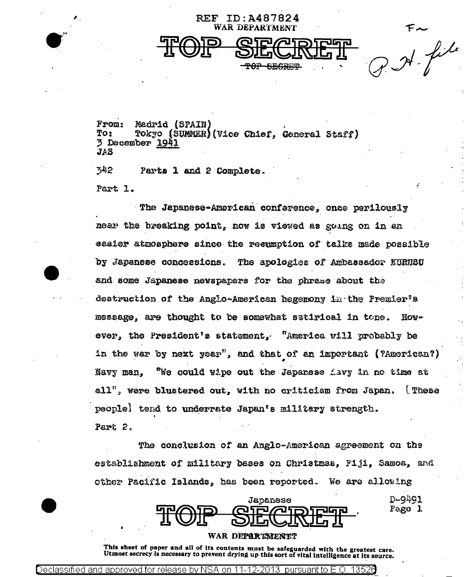$r = \frac{1}{2}$ 

From: Madrid (SPAIN) To: Tokyo (SUMMER)(Vice Chief, General Staff) 3 December 1941  $245$ 

REF ID: A487824 WAR DEPARTMENT

ን42 Parts 1 and 2 Complete. Part 1.

The Japanese-American conference, once perilously near the breaking point, now is viewed as going on in an easier atmosphere since the resumption of taiks made possible by Japanese concessions. The apologies of Ambassador KURNSU and some Japanese newspapers for the phrase about the destruction of the Anglo-American hegemony in the Fremier's message, are thought to be somewhat satirical in tone.  $H$ ovever, the President's statement, "America will probably be in the war by next year", and that of an important (?American?) Navy man, "We could wipe out the Japanese favy in no time at all", were blustered out, with no criticism from Japan. [These peoplel tend to underrate Japan's military strength. Part 2.

The conclusion of an Anglo-American agreement on the establishment of military bases on Christmas, Fiji, Samoa, and other Pacific Islands, has been reported. We are allowing

|                             | Japanese                                   | D-9491 |
|-----------------------------|--------------------------------------------|--------|
| <b>FPATO</b><br><b>IWIT</b> | <b>QIE AIDIE ER</b><br><u>DILJUJITI II</u> | Page 1 |

WAR DEPARTMENTT

This sheet of paper and all of its contents must be safeguarded with the greatest care. Utmost secrecy is necessary to prevent drying up this sort of vital intelligence at its source.